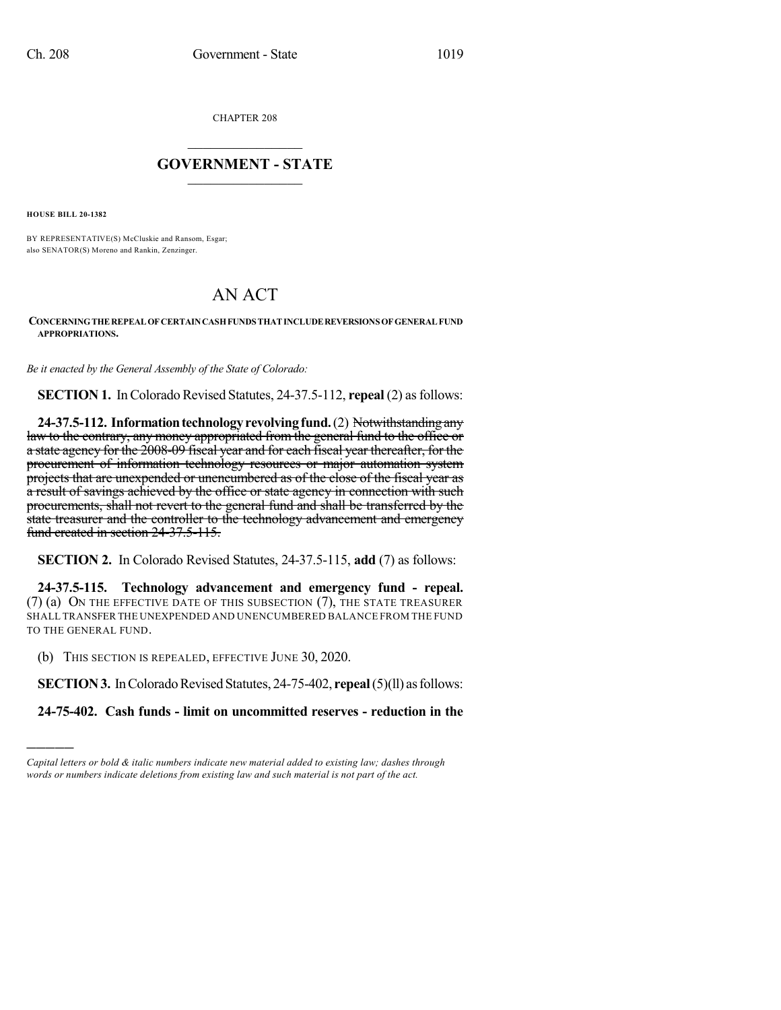CHAPTER 208

## $\overline{\phantom{a}}$  . The set of the set of the set of the set of the set of the set of the set of the set of the set of the set of the set of the set of the set of the set of the set of the set of the set of the set of the set o **GOVERNMENT - STATE**  $\_$

**HOUSE BILL 20-1382**

)))))

BY REPRESENTATIVE(S) McCluskie and Ransom, Esgar; also SENATOR(S) Moreno and Rankin, Zenzinger.

## AN ACT

## **CONCERNINGTHEREPEALOFCERTAINCASHFUNDS THATINCLUDEREVERSIONS OFGENERALFUND APPROPRIATIONS.**

*Be it enacted by the General Assembly of the State of Colorado:*

**SECTION 1.** In Colorado Revised Statutes, 24-37.5-112, **repeal** (2) as follows:

**24-37.5-112. Informationtechnologyrevolvingfund.**(2) Notwithstandingany law to the contrary, any money appropriated from the general fund to the office or a state agency for the 2008-09 fiscal year and for each fiscal year thereafter, for the procurement of information technology resources or major automation system projects that are unexpended or unencumbered as of the close of the fiscal year as a result of savings achieved by the office or state agency in connection with such procurements, shall not revert to the general fund and shall be transferred by the state treasurer and the controller to the technology advancement and emergency fund created in section 24-37.5-115.

**SECTION 2.** In Colorado Revised Statutes, 24-37.5-115, **add** (7) as follows:

**24-37.5-115. Technology advancement and emergency fund - repeal.** (7) (a) ON THE EFFECTIVE DATE OF THIS SUBSECTION (7), THE STATE TREASURER SHALL TRANSFER THE UNEXPENDED AND UNENCUMBERED BALANCE FROM THE FUND TO THE GENERAL FUND.

(b) THIS SECTION IS REPEALED, EFFECTIVE JUNE 30, 2020.

**SECTION 3.** In Colorado Revised Statutes, 24-75-402, **repeal** (5)(11) as follows:

**24-75-402. Cash funds - limit on uncommitted reserves - reduction in the**

*Capital letters or bold & italic numbers indicate new material added to existing law; dashes through words or numbers indicate deletions from existing law and such material is not part of the act.*